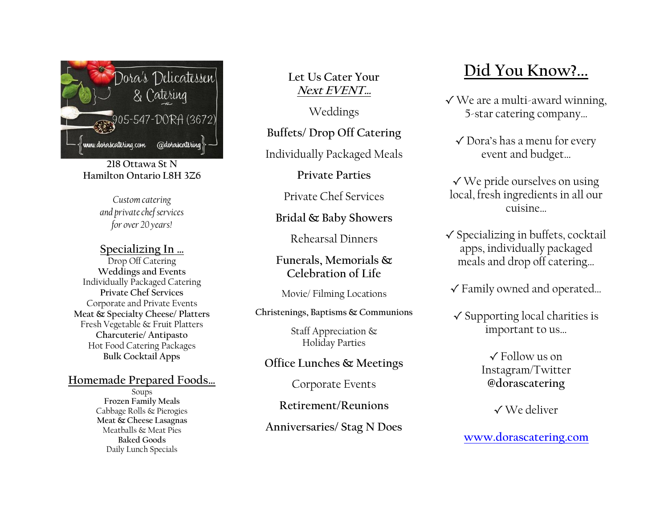

**218 Ottawa St N Hamilton Ontario L8H 3Z6**

> *Customcatering and private chef services for over 20 years!*

## **Specializing In …**

Drop Off Catering **Weddings and Events** Individually Packaged Catering **Private Chef Services** Corporate and Private Events **Meat & Specialty Cheese/ Platters** Fresh Vegetable & Fruit Platters **Charcuterie/ Antipasto** Hot Food Catering Packages **Bulk Cocktail Apps**

## **Homemade Prepared Foods…**

Soups **Frozen Family Meals** Cabbage Rolls & Pierogies **Meat & Cheese Lasagnas** Meatballs & Meat Pies **Baked Goods** Daily Lunch Specials

**Let Us Cater Your Next EVENT…**

Weddings

**Buffets/ Drop Off Catering**

Individually Packaged Meals

**Private Parties**

Private Chef Services

# **Bridal & Baby Showers**

Rehearsal Dinners

**Funerals, Memorials & Celebration of Life**

Movie/ Filming Locations

**Christenings, Baptisms & Communions** 

Staff Appreciation & Holiday Parties

## **Office Lunches & Meetings**

Corporate Events

**Retirement/Reunions**

**Anniversaries/ Stag N Does**

# **Did You Know?...**

- **√** We are a multi-award winning, 5-star catering company…
	- **√** Dora's has a menu for every event and budget…
- **√** We pride ourselves on using local, fresh ingredients in all our cuisine…
- **√** Specializing in buffets, cocktail apps, individually packaged meals and drop off catering…
- **√** Family owned and operated…
- **√** Supporting local charities is important to us…

**√** Follow us on Instagram/Twitter **@dorascatering**

**√** We deliver

**[www.dorascatering.com](http://www.dorascatering.com/)**